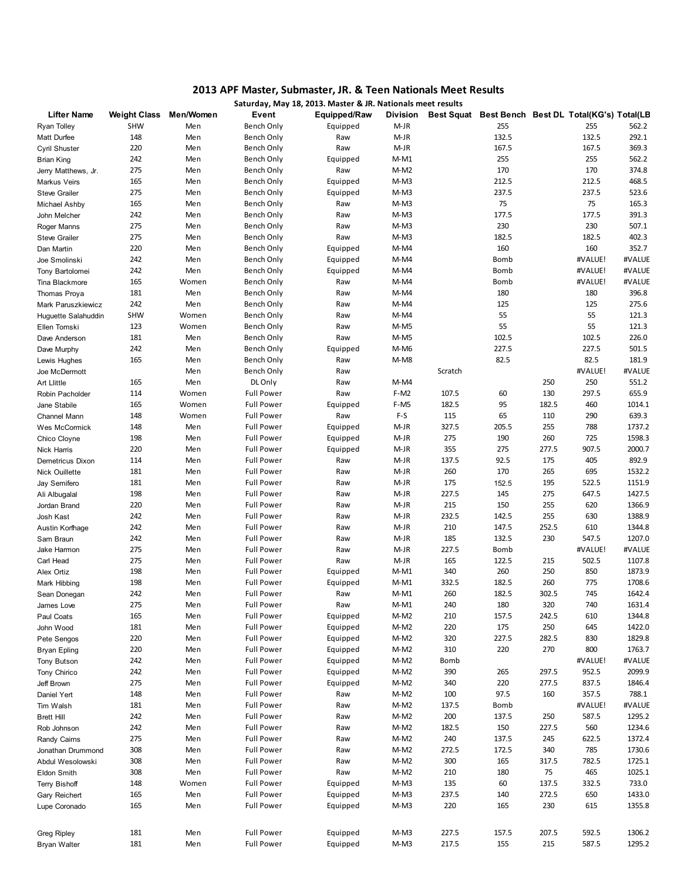## 2013 APF Master, Submaster, JR. & Teen Nationals Meet Results Saturday, May 18, 2013. Master & JR. Nationals meet results

|                       |                     |           |                   | Saturday, May 18, 2013. Master & JR. Nationals meet results |                 |         |                                                    |       |         |        |
|-----------------------|---------------------|-----------|-------------------|-------------------------------------------------------------|-----------------|---------|----------------------------------------------------|-------|---------|--------|
| <b>Lifter Name</b>    | <b>Weight Class</b> | Men/Women | Event             | Equipped/Raw                                                | <b>Division</b> |         | Best Squat Best Bench Best DL Total(KG's) Total(LB |       |         |        |
| Ryan Tolley           | <b>SHW</b>          | Men       | Bench Only        | Equipped                                                    | $M-JR$          |         | 255                                                |       | 255     | 562.2  |
| Matt Durfee           | 148                 | Men       | Bench Only        | Raw                                                         | $M-JR$          |         | 132.5                                              |       | 132.5   | 292.1  |
| Cyril Shuster         | 220                 | Men       | Bench Only        | Raw                                                         | $M-JR$          |         | 167.5                                              |       | 167.5   | 369.3  |
| <b>Brian King</b>     | 242                 | Men       | Bench Only        | Equipped                                                    | $M-M1$          |         | 255                                                |       | 255     | 562.2  |
| Jerry Matthews, Jr.   | 275                 | Men       | Bench Only        | Raw                                                         | $M-M2$          |         | 170                                                |       | 170     | 374.8  |
| Markus Veirs          | 165                 | Men       | Bench Only        | Equipped                                                    | $M-M3$          |         | 212.5                                              |       | 212.5   | 468.5  |
| <b>Steve Grailer</b>  | 275                 | Men       | Bench Only        | Equipped                                                    | $M-M3$          |         | 237.5                                              |       | 237.5   | 523.6  |
| Michael Ashby         | 165                 | Men       | Bench Only        | Raw                                                         | $M-M3$          |         | 75                                                 |       | 75      | 165.3  |
| John Melcher          | 242                 | Men       | Bench Only        | Raw                                                         | $M-M3$          |         | 177.5                                              |       | 177.5   | 391.3  |
| Roger Manns           | 275                 | Men       | Bench Only        | Raw                                                         | $M-M3$          |         | 230                                                |       | 230     | 507.1  |
| <b>Steve Grailer</b>  | 275                 | Men       | Bench Only        | Raw                                                         | M-M3            |         | 182.5                                              |       | 182.5   | 402.3  |
| Dan Martin            | 220                 | Men       | Bench Only        | Equipped                                                    | M-M4            |         | 160                                                |       | 160     | 352.7  |
| Joe Smolinski         | 242                 | Men       | Bench Only        | Equipped                                                    | M-M4            |         | Bomb                                               |       | #VALUE! | #VALUE |
| Tony Bartolomei       | 242                 | Men       | Bench Only        | Equipped                                                    | M-M4            |         | Bomb                                               |       | #VALUE! | #VALUE |
| Tina Blackmore        | 165                 | Women     | Bench Only        | Raw                                                         | M-M4            |         | Bomb                                               |       | #VALUE! | #VALUE |
| Thomas Proya          | 181                 | Men       | Bench Only        | Raw                                                         | $M-M4$          |         | 180                                                |       | 180     | 396.8  |
| Mark Paruszkiewicz    | 242                 | Men       | Bench Only        | Raw                                                         | M-M4            |         | 125                                                |       | 125     | 275.6  |
| Huguette Salahuddin   | <b>SHW</b>          | Women     | Bench Only        | Raw                                                         | M-M4            |         | 55                                                 |       | 55      | 121.3  |
| Ellen Tomski          | 123                 | Women     | Bench Only        | Raw                                                         | $M-M5$          |         | 55                                                 |       | 55      | 121.3  |
| Dave Anderson         | 181                 | Men       | Bench Only        | Raw                                                         | M-M5            |         | 102.5                                              |       | 102.5   | 226.0  |
| Dave Murphy           | 242                 | Men       | Bench Only        | Equipped                                                    | M-M6            |         | 227.5                                              |       | 227.5   | 501.5  |
| Lewis Hughes          | 165                 | Men       | Bench Only        | Raw                                                         | M-M8            |         | 82.5                                               |       | 82.5    | 181.9  |
| Joe McDermott         |                     | Men       | Bench Only        | Raw                                                         |                 | Scratch |                                                    |       | #VALUE! | #VALUE |
| Art Llittle           | 165                 | Men       | DL Only           | Raw                                                         | M-M4            |         |                                                    | 250   | 250     | 551.2  |
| Robin Pacholder       | 114                 | Women     | <b>Full Power</b> | Raw                                                         | $F-M2$          | 107.5   | 60                                                 | 130   | 297.5   | 655.9  |
| Jane Stabile          | 165                 | Women     | <b>Full Power</b> | Equipped                                                    | F-M5            | 182.5   | 95                                                 | 182.5 | 460     | 1014.1 |
| Channel Mann          | 148                 | Women     | <b>Full Power</b> | Raw                                                         | F-S             | 115     | 65                                                 | 110   | 290     | 639.3  |
| Wes McCormick         | 148                 | Men       | <b>Full Power</b> | Equipped                                                    | M-JR            | 327.5   | 205.5                                              | 255   | 788     | 1737.2 |
| Chico Cloyne          | 198                 | Men       | <b>Full Power</b> | Equipped                                                    | M-JR            | 275     | 190                                                | 260   | 725     | 1598.3 |
| Nick Harris           | 220                 | Men       | <b>Full Power</b> | Equipped                                                    | M-JR            | 355     | 275                                                | 277.5 | 907.5   | 2000.7 |
| Demetricus Dixon      | 114                 | Men       | <b>Full Power</b> | Raw                                                         | M-JR            | 137.5   | 92.5                                               | 175   | 405     | 892.9  |
| <b>Nick Ouillette</b> | 181                 | Men       | <b>Full Power</b> | Raw                                                         | $M-JR$          | 260     | 170                                                | 265   | 695     | 1532.2 |
| Jay Semifero          | 181                 | Men       | <b>Full Power</b> | Raw                                                         | $M-JR$          | 175     | 152.5                                              | 195   | 522.5   | 1151.9 |
| Ali Albugalal         | 198                 | Men       | <b>Full Power</b> | Raw                                                         | $M-JR$          | 227.5   | 145                                                | 275   | 647.5   | 1427.5 |
| Jordan Brand          | 220                 | Men       | <b>Full Power</b> | Raw                                                         | M-JR            | 215     | 150                                                | 255   | 620     | 1366.9 |
|                       | 242                 | Men       | <b>Full Power</b> | Raw                                                         | $M-JR$          | 232.5   | 142.5                                              | 255   | 630     | 1388.9 |
| Josh Kast             | 242                 | Men       | <b>Full Power</b> | Raw                                                         | $M-JR$          | 210     | 147.5                                              | 252.5 | 610     | 1344.8 |
| Austin Korfhage       |                     |           |                   |                                                             |                 |         |                                                    |       |         |        |
| Sam Braun             | 242                 | Men       | <b>Full Power</b> | Raw                                                         | M-JR            | 185     | 132.5                                              | 230   | 547.5   | 1207.0 |
| Jake Harmon           | 275                 | Men       | <b>Full Power</b> | Raw                                                         | $M-JR$          | 227.5   | Bomb                                               |       | #VALUE! | #VALUE |
| Carl Head             | 275                 | Men       | <b>Full Power</b> | Raw                                                         | $M-JR$          | 165     | 122.5                                              | 215   | 502.5   | 1107.8 |
| Alex Ortiz            | 198                 | Men       | <b>Full Power</b> | Equipped                                                    | $M-M1$          | 340     | 260                                                | 250   | 850     | 1873.9 |
| Mark Hibbing          | 198                 | Men       | <b>Full Power</b> | Equipped                                                    | $M-M1$          | 332.5   | 182.5                                              | 260   | 775     | 1708.6 |
| Sean Donegan          | 242                 | Men       | <b>Full Power</b> | Raw                                                         | M-M1            | 260     | 182.5                                              | 302.5 | 745     | 1642.4 |
| James Love            | 275                 | Men       | <b>Full Power</b> | Raw                                                         | M-M1            | 240     | 180                                                | 320   | 740     | 1631.4 |
| Paul Coats            | 165                 | Men       | <b>Full Power</b> | Equipped                                                    | M-M2            | 210     | 157.5                                              | 242.5 | 610     | 1344.8 |
| John Wood             | 181                 | Men       | <b>Full Power</b> | Equipped                                                    | $M-M2$          | 220     | 175                                                | 250   | 645     | 1422.0 |
| Pete Sengos           | 220                 | Men       | <b>Full Power</b> | Equipped                                                    | $M-M2$          | 320     | 227.5                                              | 282.5 | 830     | 1829.8 |
| <b>Bryan Epling</b>   | 220                 | Men       | <b>Full Power</b> | Equipped                                                    | $M-M2$          | 310     | 220                                                | 270   | 800     | 1763.7 |
| Tony Butson           | 242                 | Men       | <b>Full Power</b> | Equipped                                                    | $M-M2$          | Bomb    |                                                    |       | #VALUE! | #VALUE |
| Tony Chirico          | 242                 | Men       | <b>Full Power</b> | Equipped                                                    | M-M2            | 390     | 265                                                | 297.5 | 952.5   | 2099.9 |
| Jeff Brown            | 275                 | Men       | <b>Full Power</b> | Equipped                                                    | M-M2            | 340     | 220                                                | 277.5 | 837.5   | 1846.4 |
| Daniel Yert           | 148                 | Men       | <b>Full Power</b> | Raw                                                         | $M-M2$          | 100     | 97.5                                               | 160   | 357.5   | 788.1  |
| Tim Walsh             | 181                 | Men       | <b>Full Power</b> | Raw                                                         | $M-M2$          | 137.5   | Bomb                                               |       | #VALUE! | #VALUE |
| <b>Brett Hill</b>     | 242                 | Men       | <b>Full Power</b> | Raw                                                         | $M-M2$          | 200     | 137.5                                              | 250   | 587.5   | 1295.2 |
| Rob Johnson           | 242                 | Men       | <b>Full Power</b> | Raw                                                         | $M-M2$          | 182.5   | 150                                                | 227.5 | 560     | 1234.6 |
| Randy Cairns          | 275                 | Men       | <b>Full Power</b> | Raw                                                         | $M-M2$          | 240     | 137.5                                              | 245   | 622.5   | 1372.4 |
| Jonathan Drummond     | 308                 | Men       | <b>Full Power</b> | Raw                                                         | M-M2            | 272.5   | 172.5                                              | 340   | 785     | 1730.6 |
| Abdul Wesolowski      | 308                 | Men       | <b>Full Power</b> | Raw                                                         | $M-M2$          | 300     | 165                                                | 317.5 | 782.5   | 1725.1 |
| Eldon Smith           | 308                 | Men       | <b>Full Power</b> | Raw                                                         | $M-M2$          | 210     | 180                                                | 75    | 465     | 1025.1 |
| <b>Terry Bishoff</b>  | 148                 | Women     | <b>Full Power</b> | Equipped                                                    | $M-M3$          | 135     | 60                                                 | 137.5 | 332.5   | 733.0  |
| Gary Reichert         | 165                 | Men       | <b>Full Power</b> | Equipped                                                    | $M-M3$          | 237.5   | 140                                                | 272.5 | 650     | 1433.0 |
| Lupe Coronado         | 165                 | Men       | <b>Full Power</b> | Equipped                                                    | M-M3            | 220     | 165                                                | 230   | 615     | 1355.8 |
|                       |                     |           |                   |                                                             |                 |         |                                                    |       |         |        |
|                       |                     |           |                   |                                                             |                 |         |                                                    |       |         |        |
| Greg Ripley           | 181                 | Men       | <b>Full Power</b> | Equipped                                                    | M-M3            | 227.5   | 157.5                                              | 207.5 | 592.5   | 1306.2 |
| <b>Bryan Walter</b>   | 181                 | Men       | <b>Full Power</b> | Equipped                                                    | $M-M3$          | 217.5   | 155                                                | 215   | 587.5   | 1295.2 |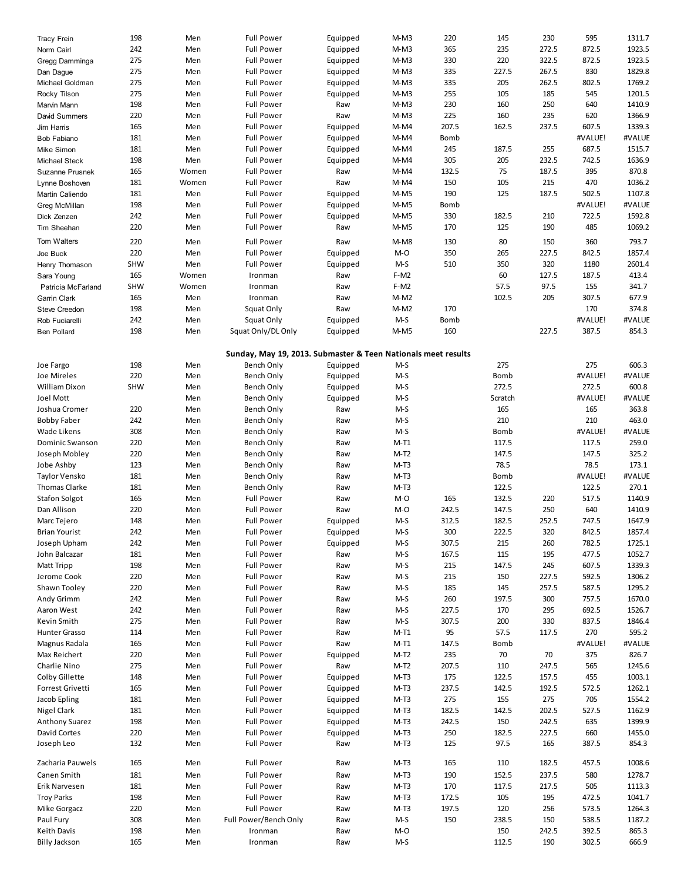| Tracy Frein          | 198        | Men   | <b>Full Power</b>                                             | Equipped | $M-M3$ | 220   | 145         | 230   | 595     | 1311.7 |
|----------------------|------------|-------|---------------------------------------------------------------|----------|--------|-------|-------------|-------|---------|--------|
| Norm Cairl           | 242        | Men   | <b>Full Power</b>                                             | Equipped | $M-M3$ | 365   | 235         | 272.5 | 872.5   | 1923.5 |
| Gregg Damminga       | 275        | Men   | <b>Full Power</b>                                             | Equipped | $M-M3$ | 330   | 220         | 322.5 | 872.5   | 1923.5 |
|                      | 275        | Men   | <b>Full Power</b>                                             |          | $M-M3$ | 335   | 227.5       | 267.5 | 830     | 1829.8 |
| Dan Dague            |            |       |                                                               | Equipped |        |       |             |       |         |        |
| Michael Goldman      | 275        | Men   | <b>Full Power</b>                                             | Equipped | $M-M3$ | 335   | 205         | 262.5 | 802.5   | 1769.2 |
| Rocky Tilson         | 275        | Men   | <b>Full Power</b>                                             | Equipped | $M-M3$ | 255   | 105         | 185   | 545     | 1201.5 |
| Marvin Mann          | 198        | Men   | <b>Full Power</b>                                             | Raw      | $M-M3$ | 230   | 160         | 250   | 640     | 1410.9 |
| David Summers        | 220        | Men   | <b>Full Power</b>                                             | Raw      | $M-M3$ | 225   | 160         | 235   | 620     | 1366.9 |
| Jim Harris           | 165        | Men   | <b>Full Power</b>                                             | Equipped | M-M4   | 207.5 | 162.5       | 237.5 | 607.5   | 1339.3 |
| Bob Fabiano          | 181        | Men   | <b>Full Power</b>                                             | Equipped | M-M4   | Bomb  |             |       | #VALUE! | #VALUE |
| Mike Simon           | 181        | Men   | <b>Full Power</b>                                             | Equipped | M-M4   | 245   | 187.5       | 255   | 687.5   | 1515.7 |
|                      | 198        |       |                                                               |          |        | 305   | 205         |       | 742.5   | 1636.9 |
| Michael Steck        |            | Men   | <b>Full Power</b>                                             | Equipped | M-M4   |       |             | 232.5 |         |        |
| Suzanne Prusnek      | 165        | Women | <b>Full Power</b>                                             | Raw      | M-M4   | 132.5 | 75          | 187.5 | 395     | 870.8  |
| Lynne Boshoven       | 181        | Women | <b>Full Power</b>                                             | Raw      | M-M4   | 150   | 105         | 215   | 470     | 1036.2 |
| Martin Caliendo      | 181        | Men   | <b>Full Power</b>                                             | Equipped | $M-M5$ | 190   | 125         | 187.5 | 502.5   | 1107.8 |
| Greg McMillan        | 198        | Men   | <b>Full Power</b>                                             | Equipped | $M-M5$ | Bomb  |             |       | #VALUE! | #VALUE |
| Dick Zenzen          | 242        | Men   | <b>Full Power</b>                                             | Equipped | $M-M5$ | 330   | 182.5       | 210   | 722.5   | 1592.8 |
| Tim Sheehan          | 220        | Men   | <b>Full Power</b>                                             | Raw      | M-M5   | 170   | 125         | 190   | 485     | 1069.2 |
|                      |            |       |                                                               |          |        |       |             |       |         |        |
| Tom Walters          | 220        | Men   | <b>Full Power</b>                                             | Raw      | M-M8   | 130   | 80          | 150   | 360     | 793.7  |
| Joe Buck             | 220        | Men   | <b>Full Power</b>                                             | Equipped | M-O    | 350   | 265         | 227.5 | 842.5   | 1857.4 |
| Henry Thomason       | <b>SHW</b> | Men   | <b>Full Power</b>                                             | Equipped | $M-S$  | 510   | 350         | 320   | 1180    | 2601.4 |
| Sara Young           | 165        | Women | Ironman                                                       | Raw      | $F-M2$ |       | 60          | 127.5 | 187.5   | 413.4  |
|                      | <b>SHW</b> | Women | Ironman                                                       | Raw      | F-M2   |       | 57.5        | 97.5  | 155     | 341.7  |
| Patricia McFarland   |            |       |                                                               |          |        |       |             |       |         |        |
| Garrin Clark         | 165        | Men   | Ironman                                                       | Raw      | $M-M2$ |       | 102.5       | 205   | 307.5   | 677.9  |
| <b>Steve Creedon</b> | 198        | Men   | Squat Only                                                    | Raw      | $M-M2$ | 170   |             |       | 170     | 374.8  |
| Rob Fuciarelli       | 242        | Men   | Squat Only                                                    | Equipped | $M-S$  | Bomb  |             |       | #VALUE! | #VALUE |
| <b>Ben Pollard</b>   | 198        | Men   | Squat Only/DL Only                                            | Equipped | $M-M5$ | 160   |             | 227.5 | 387.5   | 854.3  |
|                      |            |       |                                                               |          |        |       |             |       |         |        |
|                      |            |       | Sunday, May 19, 2013. Submaster & Teen Nationals meet results |          |        |       |             |       |         |        |
| Joe Fargo            |            |       |                                                               |          |        |       |             |       |         | 606.3  |
|                      | 198        | Men   | Bench Only                                                    | Equipped | M-S    |       | 275         |       | 275     |        |
| Joe Mireles          | 220        | Men   | Bench Only                                                    | Equipped | M-S    |       | <b>Bomb</b> |       | #VALUE! | #VALUE |
| <b>William Dixon</b> | <b>SHW</b> | Men   | Bench Only                                                    | Equipped | $M-S$  |       | 272.5       |       | 272.5   | 600.8  |
| Joel Mott            |            | Men   | Bench Only                                                    | Equipped | M-S    |       | Scratch     |       | #VALUE! | #VALUE |
| Joshua Cromer        | 220        | Men   | Bench Only                                                    | Raw      | M-S    |       | 165         |       | 165     | 363.8  |
| <b>Bobby Faber</b>   | 242        | Men   | Bench Only                                                    | Raw      | $M-S$  |       | 210         |       | 210     | 463.0  |
| <b>Wade Likens</b>   | 308        | Men   | Bench Only                                                    | Raw      | M-S    |       | <b>Bomb</b> |       | #VALUE! | #VALUE |
|                      |            |       |                                                               |          |        |       |             |       |         |        |
| Dominic Swanson      | 220        | Men   | Bench Only                                                    | Raw      | $M-T1$ |       | 117.5       |       | 117.5   | 259.0  |
| Joseph Mobley        | 220        | Men   | Bench Only                                                    | Raw      | $M-T2$ |       | 147.5       |       | 147.5   | 325.2  |
| Jobe Ashby           | 123        | Men   | Bench Only                                                    | Raw      | $M-T3$ |       | 78.5        |       | 78.5    | 173.1  |
| Taylor Vensko        | 181        | Men   | Bench Only                                                    | Raw      | $M-T3$ |       | <b>Bomb</b> |       | #VALUE! | #VALUE |
| Thomas Clarke        | 181        | Men   | Bench Only                                                    | Raw      | $M-T3$ |       | 122.5       |       | 122.5   | 270.1  |
| <b>Stafon Solgot</b> | 165        | Men   | <b>Full Power</b>                                             | Raw      | M-O    | 165   | 132.5       | 220   | 517.5   | 1140.9 |
| Dan Allison          | 220        | Men   | <b>Full Power</b>                                             | Raw      | M-O    | 242.5 | 147.5       | 250   | 640     | 1410.9 |
|                      | 148        |       | <b>Full Power</b>                                             |          | $M-S$  | 312.5 | 182.5       |       | 747.5   | 1647.9 |
| Marc Tejero          |            | Men   |                                                               | Equipped |        |       |             | 252.5 |         |        |
| <b>Brian Yourist</b> | 242        | Men   | <b>Full Power</b>                                             | Equipped | $M-S$  | 300   | 222.5       | 320   | 842.5   | 1857.4 |
| Joseph Upham         | 242        | Men   | <b>Full Power</b>                                             | Equipped | M-S    | 307.5 | 215         | 260   | 782.5   | 1725.1 |
| John Balcazar        | 181        | Men   | <b>Full Power</b>                                             | Raw      | M-S    | 167.5 | 115         | 195   | 477.5   | 1052.7 |
| Matt Tripp           | 198        | Men   | <b>Full Power</b>                                             | Raw      | M-S    | 215   | 147.5       | 245   | 607.5   | 1339.3 |
| Jerome Cook          | 220        | Men   | <b>Full Power</b>                                             | Raw      | $M-S$  | 215   | 150         | 227.5 | 592.5   | 1306.2 |
| Shawn Tooley         | 220        | Men   | <b>Full Power</b>                                             | Raw      | M-S    | 185   | 145         | 257.5 | 587.5   | 1295.2 |
|                      |            |       |                                                               |          |        |       |             |       |         |        |
| Andy Grimm           | 242        | Men   | <b>Full Power</b>                                             | Raw      | M-S    | 260   | 197.5       | 300   | 757.5   | 1670.0 |
| Aaron West           | 242        | Men   | <b>Full Power</b>                                             | Raw      | M-S    | 227.5 | 170         | 295   | 692.5   | 1526.7 |
| Kevin Smith          | 275        | Men   | <b>Full Power</b>                                             | Raw      | M-S    | 307.5 | 200         | 330   | 837.5   | 1846.4 |
| Hunter Grasso        | 114        | Men   | <b>Full Power</b>                                             | Raw      | $M-T1$ | 95    | 57.5        | 117.5 | 270     | 595.2  |
| Magnus Radala        | 165        | Men   | <b>Full Power</b>                                             | Raw      | $M-T1$ | 147.5 | Bomb        |       | #VALUE! | #VALUE |
| Max Reichert         | 220        | Men   | <b>Full Power</b>                                             | Equipped | $M-T2$ | 235   | 70          | 70    | 375     | 826.7  |
| Charlie Nino         | 275        | Men   | <b>Full Power</b>                                             | Raw      | $M-T2$ | 207.5 | 110         | 247.5 | 565     | 1245.6 |
| Colby Gillette       | 148        | Men   | <b>Full Power</b>                                             | Equipped | $M-T3$ | 175   | 122.5       | 157.5 | 455     | 1003.1 |
|                      |            |       |                                                               |          |        |       |             |       |         |        |
| Forrest Grivetti     | 165        | Men   | <b>Full Power</b>                                             | Equipped | $M-T3$ | 237.5 | 142.5       | 192.5 | 572.5   | 1262.1 |
| Jacob Epling         | 181        | Men   | <b>Full Power</b>                                             | Equipped | $M-T3$ | 275   | 155         | 275   | 705     | 1554.2 |
| Nigel Clark          | 181        | Men   | <b>Full Power</b>                                             | Equipped | $M-T3$ | 182.5 | 142.5       | 202.5 | 527.5   | 1162.9 |
| Anthony Suarez       | 198        | Men   | <b>Full Power</b>                                             | Equipped | $M-T3$ | 242.5 | 150         | 242.5 | 635     | 1399.9 |
| David Cortes         | 220        | Men   | <b>Full Power</b>                                             | Equipped | $M-T3$ | 250   | 182.5       | 227.5 | 660     | 1455.0 |
| Joseph Leo           | 132        | Men   | <b>Full Power</b>                                             | Raw      | $M-T3$ | 125   | 97.5        | 165   | 387.5   | 854.3  |
|                      |            |       |                                                               |          |        |       |             |       |         |        |
| Zacharia Pauwels     | 165        | Men   | <b>Full Power</b>                                             | Raw      | $M-T3$ | 165   | 110         | 182.5 | 457.5   | 1008.6 |
|                      |            |       |                                                               |          |        |       |             |       |         |        |
| Canen Smith          | 181        | Men   | <b>Full Power</b>                                             | Raw      | $M-T3$ | 190   | 152.5       | 237.5 | 580     | 1278.7 |
| Erik Narvesen        | 181        | Men   | <b>Full Power</b>                                             | Raw      | $M-T3$ | 170   | 117.5       | 217.5 | 505     | 1113.3 |
| <b>Troy Parks</b>    | 198        | Men   | <b>Full Power</b>                                             | Raw      | $M-T3$ | 172.5 | 105         | 195   | 472.5   | 1041.7 |
| Mike Gorgacz         | 220        | Men   | <b>Full Power</b>                                             | Raw      | $M-T3$ | 197.5 | 120         | 256   | 573.5   | 1264.3 |
| Paul Fury            | 308        | Men   | Full Power/Bench Only                                         | Raw      | M-S    | 150   | 238.5       | 150   | 538.5   | 1187.2 |
| Keith Davis          | 198        | Men   | Ironman                                                       | Raw      | M-O    |       | 150         | 242.5 | 392.5   | 865.3  |
| <b>Billy Jackson</b> | 165        | Men   | Ironman                                                       | Raw      | M-S    |       | 112.5       | 190   | 302.5   | 666.9  |
|                      |            |       |                                                               |          |        |       |             |       |         |        |